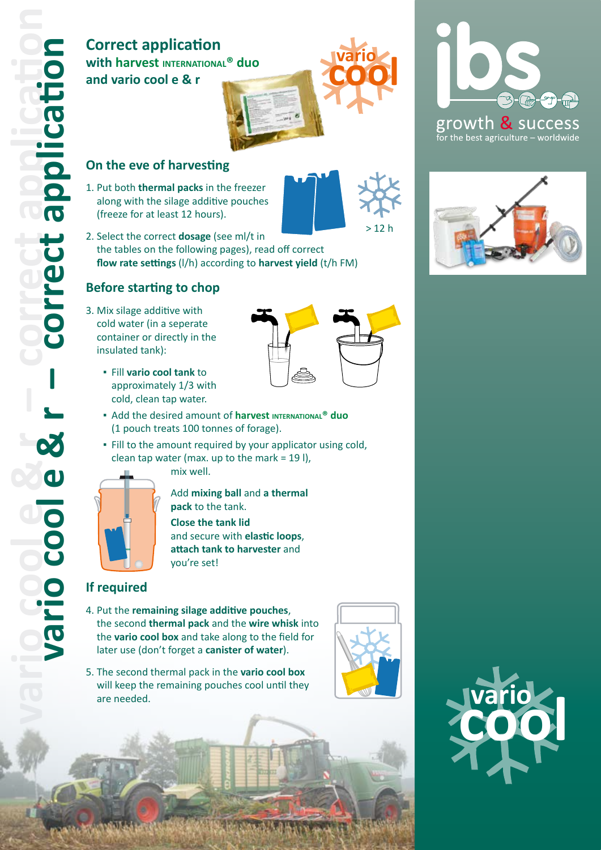## **Correct application with harvest INTERNATIONAL® duo and vario cool e & r**

- 1. Put both **thermal packs** in the freezer along with the silage additive pouches (freeze for at least 12 hours).
- 2. Select the correct **dosage** (see ml/t in the tables on the following pages), read off correct **flow rate settings** (l/h) according to **harvest yield** (t/h FM)

#### **Before starting to chop**

- 3. Mix silage additive with cold water (in a seperate container or directly in the insulated tank):
	- Fill **vario cool tank** to approximately 1/3 with cold, clean tap water.
	- **E** Add the desired amount of **harvest INTERNATIONAL<sup>®</sup> duo** (1 pouch treats 100 tonnes of forage).
	- **.** Fill to the amount required by your applicator using cold, clean tap water (max. up to the mark =  $19$  l), mix well.



Add **mixing ball** and **a thermal pack** to the tank.

**Close the tank lid** and secure with **elastic loops**, **attach tank to harvester** and you're set!

#### **If required**

- 4. Put the **remaining silage additive pouches**, the second **thermal pack** and the **wire whisk** into the **vario cool box** and take along to the field for later use (don't forget a **canister of water**).
- 5. The second thermal pack in the **vario cool box** will keep the remaining pouches cool until they are needed.



**cool vario** 

 $> 12 h$ 



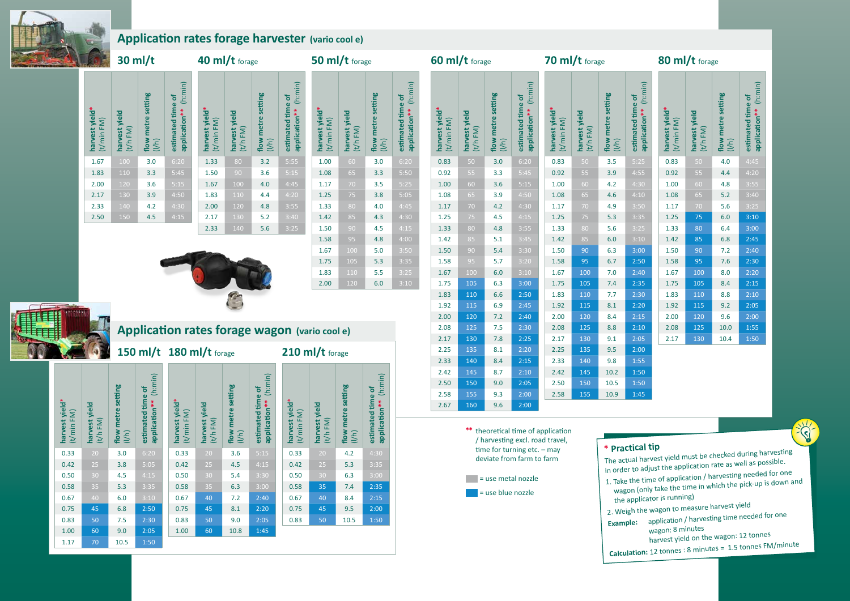**\*\*** theoretical time of application / harvesting excl. road travel, time for turning etc. - may deviate from farm to farm

#### $=$  use metal nozzle

 $=$  use blue nozzle

- 
- 

| 55 | 9.3 | 2:00 |  |
|----|-----|------|--|
| 50 | 9.6 | 2:00 |  |
|    |     |      |  |

### 80 ml/t  $\epsilon$



## **Application rates forage harvester (vario cool e)**

# **Application rates forage wagon (vario cool e)**

## **\* Practical tip**

The actual harvest yield must be checked during harvesting in order to adjust the application rate as well as possible.

**CITY** 

- 1. Take the time of application / harvesting needed for one wagon (only take the time in which the pick-up is down an<sup>d</sup> the applicator is running)
- 2. Weigh the wagon to measure harvest yield
- **Example:** application / harvesting time needed for one wagon: 8 minutes
	- harvest yield on the wagon: 12 tonnes
- **Calculation:** 12 tonnes : 8 minutes = 1.5 tonnes FM/minute



| harvest yield*<br>(t/min FM) | harvest yield<br>$(t/h$ FM $)$ | flow metre setting<br>(I/h) | (h:min)<br>estimated time of<br>application** | harvest yield*<br>(t/min FM) | harvest vield        |
|------------------------------|--------------------------------|-----------------------------|-----------------------------------------------|------------------------------|----------------------|
| 1.67                         | 100                            | 3.0                         | 6:20                                          | 1.33                         | $\epsilon$           |
| 1.83                         | 110                            | 3.3                         | 5:45                                          | 1.50                         | $\ddot{\phantom{a}}$ |
| 2.00                         | 120                            | 3.6                         | 5:15                                          | 1.67                         | $\mathbf{1}$         |
| 2.17                         | 130                            | 3.9                         | 4:50                                          | 1.83                         | $\overline{1}$       |
| 2.33                         | $\overline{140}$               | 4.2                         | 4:30                                          | 2.00                         | $\overline{1}$       |
| 2.50                         | 150                            | 4.5                         | 4:15                                          | 2.17                         | $\overline{1}$       |
|                              |                                |                             |                                               |                              |                      |

### **40 ml/t** forage

**50 ml/t** forage

| harvest yield*<br>(t/min FM) | harvest yield<br>$(t/h$ FM $)$ | flow metre setting<br>(I/h) | (h:min)<br>estimated time of<br>application** | harvest yield*<br>(t/min FM) | harvest yield<br>$(t/h$ FM $)$ | flow metre setting<br>(I/h) | (h:min)<br>estimated time of<br>application** |  |  |
|------------------------------|--------------------------------|-----------------------------|-----------------------------------------------|------------------------------|--------------------------------|-----------------------------|-----------------------------------------------|--|--|
| 1.33                         | 80                             | 3.2                         | 5:55                                          | 1.00                         | 60                             | 3.0                         | 6:20                                          |  |  |
| 1.50                         | 90                             | 3.6                         | 5:15                                          | 1.08                         | 65                             | 3.3                         | 5:50                                          |  |  |
| 1.67                         | 100                            | 4.0                         | 4:45                                          | 1.17                         | 70                             | 3.5                         | 5:25                                          |  |  |
| 1.83                         | 110                            | 4.4                         | 4:20                                          | 1.25                         | 75                             | 3.8                         | 5:05                                          |  |  |
| 2.00                         | 120                            | 4.8                         | 3:55                                          | 1.33                         | 80                             | 4.0                         | 4:45                                          |  |  |
| 2.17                         | 130                            | 5.2                         | 3:40                                          | 1.42                         | 85                             | 4.3                         | 4:30                                          |  |  |
| 2.33                         | 140                            | 5.6                         | 3:25                                          | 1.50                         | 90                             | 4.5                         | 4:15                                          |  |  |
|                              |                                |                             |                                               | 1.58                         | 95                             | 4.8                         | 4:00                                          |  |  |
|                              |                                |                             |                                               | 1.67                         | 100                            | 5.0                         | 3:50                                          |  |  |
|                              |                                |                             |                                               | 1.75                         | 105                            | 5.3                         | 3:35                                          |  |  |
|                              |                                |                             |                                               | 1.83                         | 110                            | 5.5                         | 3:25                                          |  |  |
|                              |                                |                             |                                               | 2.00                         | 120                            | 6.0                         | 3:10                                          |  |  |



#### **70 ml/t**  $\epsilon$

#### **60 ml/t** forage

#### **150 ml/t 180 ml/t** forage

| harvest yield*<br>(t/min FM) | yield<br>$(t/h$ FM $)$<br>harvest | setting<br>metre<br><b>flow</b><br>(1/h) | (h:min)<br>$\mathbf{d}$<br>time<br>application**<br>estimated | harvest yield*<br>(t/min FM) | yield<br>$(t/h$ FM $)$<br>harvest | setting<br>metre<br>flow<br>(1/h) | (h:min)<br>$\mathbf{b}$<br>time<br>application**<br>estimated | harvest yield*<br>FM)<br>(t/min) | harvest yield<br>$(t/h$ FM $)$ | setting<br>flow metre<br>(1/h) | (h:min)<br>$\mathbf{b}$<br>estimated time<br>application** |
|------------------------------|-----------------------------------|------------------------------------------|---------------------------------------------------------------|------------------------------|-----------------------------------|-----------------------------------|---------------------------------------------------------------|----------------------------------|--------------------------------|--------------------------------|------------------------------------------------------------|
| 0.33                         | 20                                | 3.0                                      | 6:20                                                          | 0.33                         | 20                                | 3.6                               | 5:15                                                          | 0.33                             | 20                             | 4.2                            | 4:30                                                       |
| 0.42                         | 25                                | 3.8                                      | 5:05                                                          | 0.42                         | 25                                | 4.5                               | 4:15                                                          | 0.42                             | 25                             | 5.3                            | 3:35                                                       |
| 0.50                         | 30                                | 4.5                                      | 4:15                                                          | 0.50                         | 30                                | 5.4                               | 3:30                                                          | 0.50                             | 30                             | 6.3                            | 3:00                                                       |
| 0.58                         | 35                                | 5.3                                      | 3:35                                                          | 0.58                         | 35                                | 6.3                               | 3:00                                                          | 0.58                             | 35                             | 7.4                            | 2:35                                                       |
| 0.67                         | 40                                | 6.0                                      | 3:10                                                          | 0.67                         | 40                                | 7.2                               | 2:40                                                          | 0.67                             | 40                             | 8.4                            | 2:15                                                       |
| 0.75                         | 45                                | 6.8                                      | 2:50                                                          | 0.75                         | 45                                | 8.1                               | 2:20                                                          | 0.75                             | 45                             | 9.5                            | 2:00                                                       |
| 0.83                         | 50                                | 7.5                                      | 2:30                                                          | 0.83                         | 50                                | 9.0                               | 2:05                                                          | 0.83                             | 50                             | 10.5                           | $1:50$                                                     |
| 1.00                         | 60                                | 9.0                                      | 2:05                                                          | 1.00                         | 60                                | 10.8                              | 1:45                                                          |                                  |                                |                                |                                                            |
| 1.17                         | 70                                | 10.5                                     | 1:50                                                          |                              |                                   |                                   |                                                               |                                  |                                |                                |                                                            |

| <b>OU IIII</b> / <b>L</b> forage |                              |                                |                             |                                               |                              | <b>70 IIII/ L</b> forage       |                             |                                            | <b>OU IIII</b> / <b>L</b> forage |                                |                             |                                            |
|----------------------------------|------------------------------|--------------------------------|-----------------------------|-----------------------------------------------|------------------------------|--------------------------------|-----------------------------|--------------------------------------------|----------------------------------|--------------------------------|-----------------------------|--------------------------------------------|
|                                  | harvest yield*<br>(t/min FM) | harvest yield<br>$(t/h$ FM $)$ | flow metre setting<br>(1/h) | (h:min)<br>estimated time of<br>application** | harvest yield*<br>(t/min FM) | harvest yield<br>$(t/h$ FM $)$ | flow metre setting<br>(I/h) | application** (h:min)<br>estimated time of | harvest yield*<br>(t/min FM)     | harvest yield<br>$(t/h$ FM $)$ | flow metre setting<br>(I/h) | application** (h:min)<br>estimated time of |
|                                  | 0.83                         | 50                             | 3.0                         | 6:20                                          | 0.83                         | 50                             | 3.5                         | 5:25                                       | 0.83                             | 50                             | 4.0                         | 4:45                                       |
|                                  | 0.92                         | 55                             | 3.3                         | 5:45                                          | 0.92                         | 55                             | 3.9                         | 4:55                                       | 0.92                             | 55                             | 4.4                         | 4:20                                       |
|                                  | 1.00                         | 60                             | 3.6                         | 5:15                                          | 1.00                         | 60                             | 4.2                         | 4:30                                       | 1.00                             | 60                             | 4.8                         | 3:55                                       |
|                                  | 1.08                         | 65                             | 3.9                         | 4:50                                          | 1.08                         | 65                             | 4.6                         | 4:10                                       | 1.08                             | 65                             | 5.2                         | 3:40                                       |
|                                  | 1.17                         | 70                             | 4.2                         | 4:30                                          | $1.17\,$                     | 70                             | 4.9                         | 3:50                                       | 1.17                             | 70                             | 5.6                         | 3:25                                       |
|                                  | 1.25                         | 75                             | 4.5                         | 4:15                                          | 1.25                         | 75                             | 5.3                         | 3:35                                       | 1.25                             | 75                             | 6.0                         | 3:10                                       |
|                                  | 1.33                         | 80                             | 4.8                         | 3:55                                          | 1.33                         | 80                             | 5.6                         | 3:25                                       | 1.33                             | 80                             | 6.4                         | 3:00                                       |
|                                  | 1.42                         | 85                             | 5.1                         | 3:45                                          | 1.42                         | 85                             | 6.0                         | 3:10                                       | 1.42                             | 85                             | 6.8                         | 2:45                                       |
|                                  | 1.50                         | 90                             | 5.4                         | 3:30                                          | 1.50                         | 90                             | 6.3                         | 3:00                                       | 1.50                             | 90                             | 7.2                         | 2:40                                       |
|                                  | 1.58                         | 95                             | 5.7                         | 3:20                                          | 1.58                         | 95                             | 6.7                         | 2:50                                       | 1.58                             | 95                             | 7.6                         | 2:30                                       |
|                                  | 1.67                         | 100                            | 6.0                         | 3:10                                          | 1.67                         | 100                            | 7.0                         | 2:40                                       | 1.67                             | 100                            | 8.0                         | 2:20                                       |
|                                  | 1.75                         | 105                            | 6.3                         | 3:00                                          | 1.75                         | 105                            | 7.4                         | 2:35                                       | 1.75                             | 105                            | 8.4                         | 2:15                                       |
|                                  | 1.83                         | 110                            | 6.6                         | 2:50                                          | 1.83                         | 110                            | 7.7                         | 2:30                                       | 1.83                             | 110                            | 8.8                         | 2:10                                       |
|                                  | 1.92                         | 115                            | 6.9                         | 2:45                                          | 1.92                         | 115                            | 8.1                         | 2:20                                       | 1.92                             | 115                            | 9.2                         | 2:05                                       |
|                                  | 2.00                         | 120                            | 7.2                         | 2:40                                          | 2.00                         | 120                            | 8.4                         | 2:15                                       | 2.00                             | 120                            | 9.6                         | 2:00                                       |
|                                  | 2.08                         | 125                            | 7.5                         | 2:30                                          | 2.08                         | 125                            | 8.8                         | 2:10                                       | 2.08                             | 125                            | 10.0                        | 1:55                                       |
|                                  | 2.17                         | 130                            | 7.8                         | 2:25                                          | 2.17                         | 130                            | 9.1                         | 2:05                                       | 2.17                             | 130                            | 10.4                        | 1:50                                       |
|                                  | 2.25                         | 135                            | 8.1                         | 2:20                                          | 2.25                         | 135                            | 9.5                         | 2:00                                       |                                  |                                |                             |                                            |
|                                  | 2.33                         | 140                            | 8.4                         | 2:15                                          | 2.33                         | 140                            | 9.8                         | 1:55                                       |                                  |                                |                             |                                            |
|                                  | 2.42                         | 145                            | 8.7                         | 2:10                                          | 2.42                         | 145                            | 10.2                        | 1:50                                       |                                  |                                |                             |                                            |
|                                  | 2.50                         | 150                            | 9.0                         | 2:05                                          | 2.50                         | 150                            | 10.5                        | $1:50$                                     |                                  |                                |                             |                                            |
|                                  | 2.58                         | 155                            | 9.3                         | 2:00                                          | 2.58                         | 155                            | 10.9                        | 1:45                                       |                                  |                                |                             |                                            |
|                                  | 2.67                         | 160                            | 9.6                         | 2:00                                          |                              |                                |                             |                                            |                                  |                                |                             |                                            |

## **210 ml/t** forage